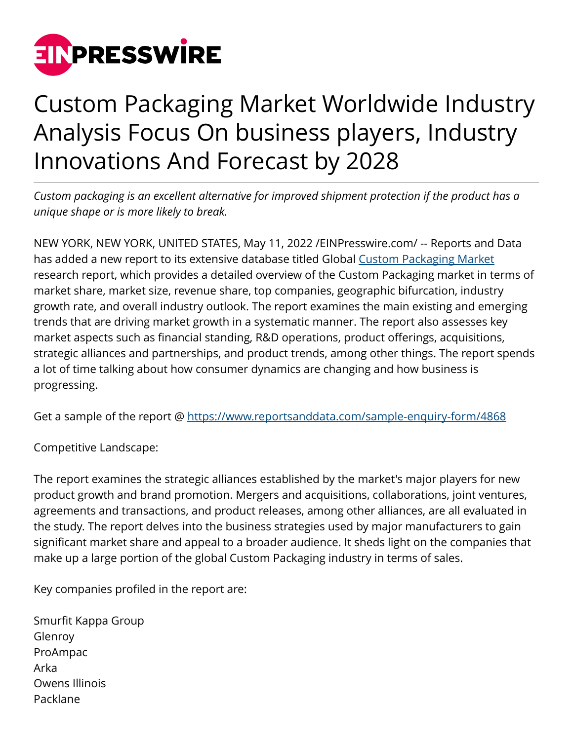

## Custom Packaging Market Worldwide Industry Analysis Focus On business players, Industry Innovations And Forecast by 2028

*Custom packaging is an excellent alternative for improved shipment protection if the product has a unique shape or is more likely to break.*

NEW YORK, NEW YORK, UNITED STATES, May 11, 2022 /[EINPresswire.com/](http://www.einpresswire.com) -- Reports and Data has added a new report to its extensive database titled Global [Custom Packaging Market](https://www.reportsanddata.com/report-detail/custom-packaging-market) research report, which provides a detailed overview of the Custom Packaging market in terms of market share, market size, revenue share, top companies, geographic bifurcation, industry growth rate, and overall industry outlook. The report examines the main existing and emerging trends that are driving market growth in a systematic manner. The report also assesses key market aspects such as financial standing, R&D operations, product offerings, acquisitions, strategic alliances and partnerships, and product trends, among other things. The report spends a lot of time talking about how consumer dynamics are changing and how business is progressing.

Get a sample of the report @<https://www.reportsanddata.com/sample-enquiry-form/4868>

Competitive Landscape:

The report examines the strategic alliances established by the market's major players for new product growth and brand promotion. Mergers and acquisitions, collaborations, joint ventures, agreements and transactions, and product releases, among other alliances, are all evaluated in the study. The report delves into the business strategies used by major manufacturers to gain significant market share and appeal to a broader audience. It sheds light on the companies that make up a large portion of the global Custom Packaging industry in terms of sales.

Key companies profiled in the report are:

Smurfit Kappa Group Glenroy ProAmpac Arka Owens Illinois Packlane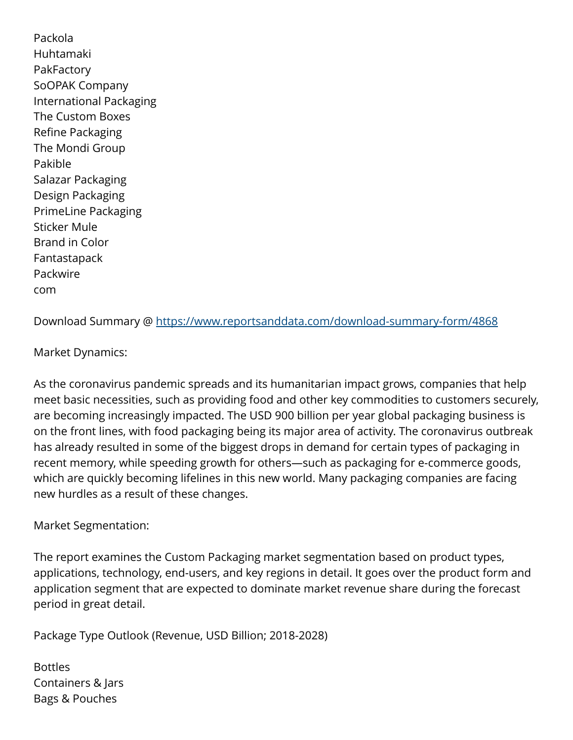Packola Huhtamaki PakFactory SoOPAK Company International Packaging The Custom Boxes Refine Packaging The Mondi Group Pakible Salazar Packaging Design Packaging PrimeLine Packaging Sticker Mule Brand in Color Fantastapack Packwire com

Download Summary @ <https://www.reportsanddata.com/download-summary-form/4868>

## Market Dynamics:

As the coronavirus pandemic spreads and its humanitarian impact grows, companies that help meet basic necessities, such as providing food and other key commodities to customers securely, are becoming increasingly impacted. The USD 900 billion per year global packaging business is on the front lines, with food packaging being its major area of activity. The coronavirus outbreak has already resulted in some of the biggest drops in demand for certain types of packaging in recent memory, while speeding growth for others—such as packaging for e-commerce goods, which are quickly becoming lifelines in this new world. Many packaging companies are facing new hurdles as a result of these changes.

## Market Segmentation:

The report examines the Custom Packaging market segmentation based on product types, applications, technology, end-users, and key regions in detail. It goes over the product form and application segment that are expected to dominate market revenue share during the forecast period in great detail.

Package Type Outlook (Revenue, USD Billion; 2018-2028)

Bottles Containers & Jars Bags & Pouches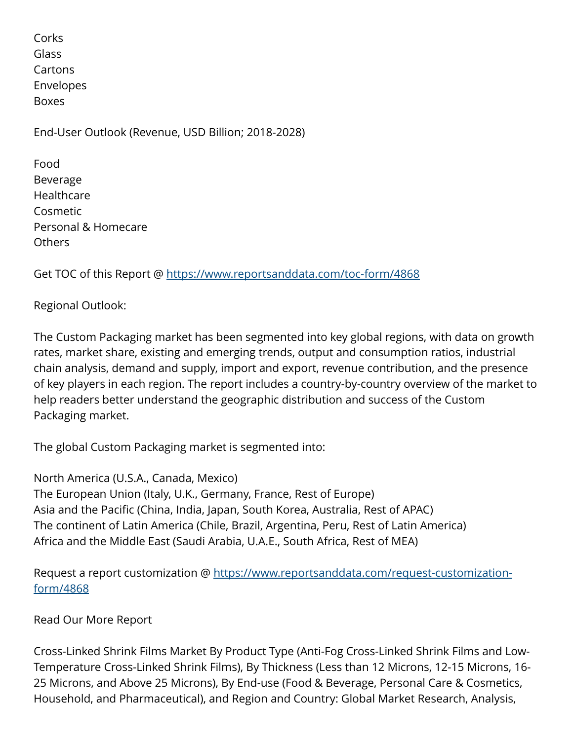Corks Glass Cartons Envelopes Boxes

End-User Outlook (Revenue, USD Billion; 2018-2028)

Food Beverage **Healthcare** Cosmetic Personal & Homecare Others

Get TOC of this Report @ <https://www.reportsanddata.com/toc-form/4868>

Regional Outlook:

The Custom Packaging market has been segmented into key global regions, with data on growth rates, market share, existing and emerging trends, output and consumption ratios, industrial chain analysis, demand and supply, import and export, revenue contribution, and the presence of key players in each region. The report includes a country-by-country overview of the market to help readers better understand the geographic distribution and success of the Custom Packaging market.

The global Custom Packaging market is segmented into:

North America (U.S.A., Canada, Mexico) The European Union (Italy, U.K., Germany, France, Rest of Europe) Asia and the Pacific (China, India, Japan, South Korea, Australia, Rest of APAC) The continent of Latin America (Chile, Brazil, Argentina, Peru, Rest of Latin America) Africa and the Middle East (Saudi Arabia, U.A.E., South Africa, Rest of MEA)

Request a report customization @ [https://www.reportsanddata.com/request-customization](https://www.reportsanddata.com/request-customization-form/4868)[form/4868](https://www.reportsanddata.com/request-customization-form/4868)

Read Our More Report

Cross-Linked Shrink Films Market By Product Type (Anti-Fog Cross-Linked Shrink Films and Low-Temperature Cross-Linked Shrink Films), By Thickness (Less than 12 Microns, 12-15 Microns, 16- 25 Microns, and Above 25 Microns), By End-use (Food & Beverage, Personal Care & Cosmetics, Household, and Pharmaceutical), and Region and Country: Global Market Research, Analysis,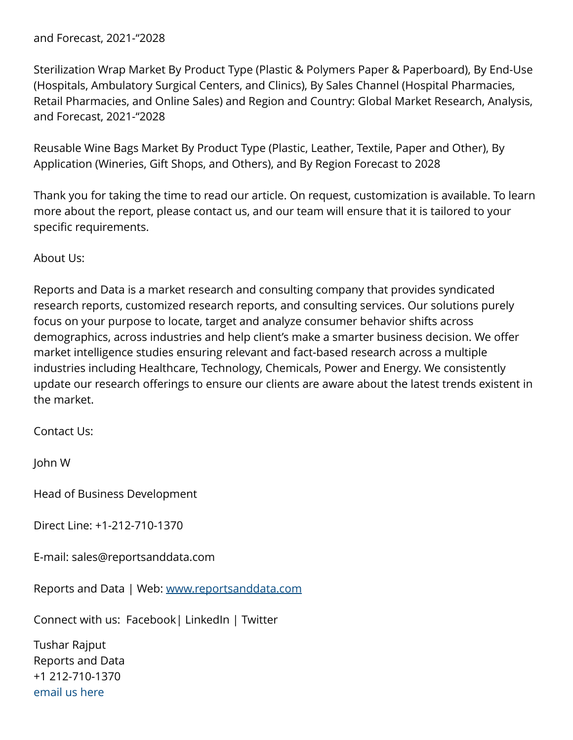## and Forecast, 2021-"2028

Sterilization Wrap Market By Product Type (Plastic & Polymers Paper & Paperboard), By End-Use (Hospitals, Ambulatory Surgical Centers, and Clinics), By Sales Channel (Hospital Pharmacies, Retail Pharmacies, and Online Sales) and Region and Country: Global Market Research, Analysis, and Forecast, 2021-"2028

Reusable Wine Bags Market By Product Type (Plastic, Leather, Textile, Paper and Other), By Application (Wineries, Gift Shops, and Others), and By Region Forecast to 2028

Thank you for taking the time to read our article. On request, customization is available. To learn more about the report, please contact us, and our team will ensure that it is tailored to your specific requirements.

About Us:

Reports and Data is a market research and consulting company that provides syndicated research reports, customized research reports, and consulting services. Our solutions purely focus on your purpose to locate, target and analyze consumer behavior shifts across demographics, across industries and help client's make a smarter business decision. We offer market intelligence studies ensuring relevant and fact-based research across a multiple industries including Healthcare, Technology, Chemicals, Power and Energy. We consistently update our research offerings to ensure our clients are aware about the latest trends existent in the market.

Contact Us:

John W

Head of Business Development

Direct Line: +1-212-710-1370

E-mail: sales@reportsanddata.com

Reports and Data | Web: [www.reportsanddata.com](http://www.reportsanddata.com)

Connect with us: Facebook| LinkedIn | Twitter

Tushar Rajput Reports and Data +1 212-710-1370 [email us here](http://www.einpresswire.com/contact_author/3481259)